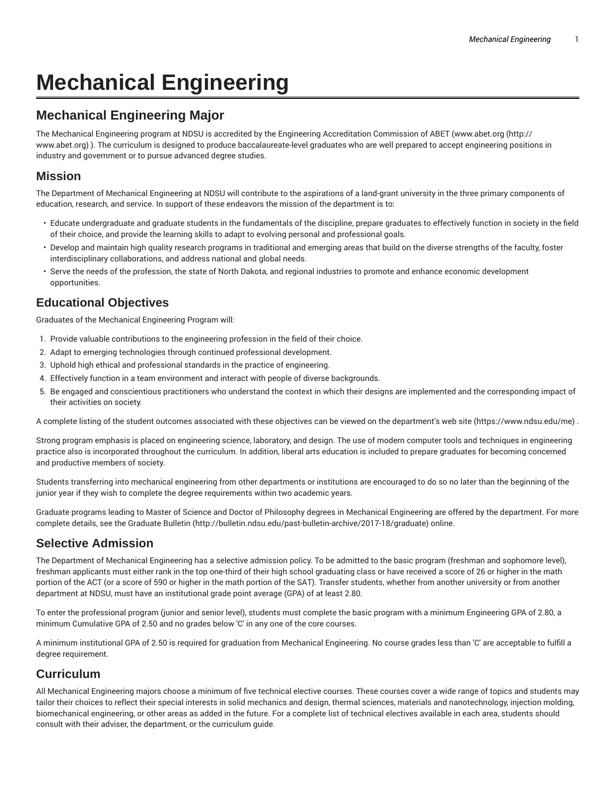# **Mechanical Engineering**

# **Mechanical Engineering Major**

The Mechanical Engineering program at NDSU is accredited by the Engineering Accreditation Commission of ABET (www.abet.org (http:// www.abet.org) ). The curriculum is designed to produce baccalaureate-level graduates who are well prepared to accept engineering positions in industry and government or to pursue advanced degree studies.

#### **Mission**

The Department of Mechanical Engineering at NDSU will contribute to the aspirations of a land-grant university in the three primary components of education, research, and service. In support of these endeavors the mission of the department is to:

- Educate undergraduate and graduate students in the fundamentals of the discipline, prepare graduates to effectively function in society in the field of their choice, and provide the learning skills to adapt to evolving personal and professional goals.
- Develop and maintain high quality research programs in traditional and emerging areas that build on the diverse strengths of the faculty, foster interdisciplinary collaborations, and address national and global needs.
- Serve the needs of the profession, the state of North Dakota, and regional industries to promote and enhance economic development opportunities.

# **Educational Objectives**

Graduates of the Mechanical Engineering Program will:

- 1. Provide valuable contributions to the engineering profession in the field of their choice.
- 2. Adapt to emerging technologies through continued professional development.
- 3. Uphold high ethical and professional standards in the practice of engineering.
- 4. Effectively function in a team environment and interact with people of diverse backgrounds.
- 5. Be engaged and conscientious practitioners who understand the context in which their designs are implemented and the corresponding impact of their activities on society.

A complete listing of the student outcomes associated with these objectives can be viewed on the department's web site (https://www.ndsu.edu/me) .

Strong program emphasis is placed on engineering science, laboratory, and design. The use of modern computer tools and techniques in engineering practice also is incorporated throughout the curriculum. In addition, liberal arts education is included to prepare graduates for becoming concerned and productive members of society.

Students transferring into mechanical engineering from other departments or institutions are encouraged to do so no later than the beginning of the junior year if they wish to complete the degree requirements within two academic years.

Graduate programs leading to Master of Science and Doctor of Philosophy degrees in Mechanical Engineering are offered by the department. For more complete details, see the Graduate Bulletin (http://bulletin.ndsu.edu/past-bulletin-archive/2017-18/graduate) online.

# **Selective Admission**

The Department of Mechanical Engineering has a selective admission policy. To be admitted to the basic program (freshman and sophomore level), freshman applicants must either rank in the top one-third of their high school graduating class or have received a score of 26 or higher in the math portion of the ACT (or a score of 590 or higher in the math portion of the SAT). Transfer students, whether from another university or from another department at NDSU, must have an institutional grade point average (GPA) of at least 2.80.

To enter the professional program (junior and senior level), students must complete the basic program with a minimum Engineering GPA of 2.80, a minimum Cumulative GPA of 2.50 and no grades below 'C' in any one of the core courses.

A minimum institutional GPA of 2.50 is required for graduation from Mechanical Engineering. No course grades less than 'C' are acceptable to fulfill a degree requirement.

# **Curriculum**

All Mechanical Engineering majors choose a minimum of five technical elective courses. These courses cover a wide range of topics and students may tailor their choices to reflect their special interests in solid mechanics and design, thermal sciences, materials and nanotechnology, injection molding, biomechanical engineering, or other areas as added in the future. For a complete list of technical electives available in each area, students should consult with their adviser, the department, or the curriculum guide.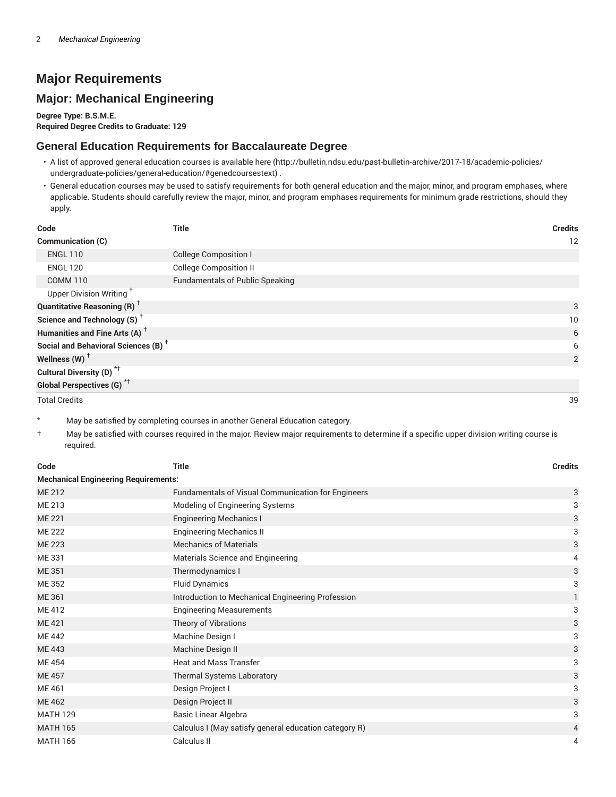# **Major Requirements**

# **Major: Mechanical Engineering**

**Degree Type: B.S.M.E. Required Degree Credits to Graduate: 129**

#### **General Education Requirements for Baccalaureate Degree**

- A list of approved general education courses is available here (http://bulletin.ndsu.edu/past-bulletin-archive/2017-18/academic-policies/ undergraduate-policies/general-education/#genedcoursestext) .
- General education courses may be used to satisfy requirements for both general education and the major, minor, and program emphases, where applicable. Students should carefully review the major, minor, and program emphases requirements for minimum grade restrictions, should they apply.

| Code                                                 | <b>Title</b>                           | <b>Credits</b> |
|------------------------------------------------------|----------------------------------------|----------------|
| <b>Communication (C)</b>                             |                                        | 12             |
| <b>ENGL 110</b>                                      | <b>College Composition I</b>           |                |
| <b>ENGL 120</b>                                      | <b>College Composition II</b>          |                |
| <b>COMM 110</b>                                      | <b>Fundamentals of Public Speaking</b> |                |
| Upper Division Writing <sup>+</sup>                  |                                        |                |
| <b>Quantitative Reasoning (R)</b> <sup>†</sup>       |                                        | 3              |
| Science and Technology (S) <sup><math>†</math></sup> |                                        | 10             |
| Humanities and Fine Arts (A) <sup>+</sup>            |                                        | 6              |
| Social and Behavioral Sciences (B) <sup>+</sup>      |                                        | 6              |
| Wellness (W) $^{\dagger}$                            |                                        | 2              |
| Cultural Diversity (D) <sup>*†</sup>                 |                                        |                |
| Global Perspectives (G) <sup>*†</sup>                |                                        |                |

Total Credits 39

May be satisfied by completing courses in another General Education category.

† May be satisfied with courses required in the major. Review major requirements to determine if a specific upper division writing course is required.

| Code            | <b>Title</b>                                              | <b>Credits</b> |  |  |
|-----------------|-----------------------------------------------------------|----------------|--|--|
|                 | <b>Mechanical Engineering Requirements:</b>               |                |  |  |
| ME 212          | <b>Fundamentals of Visual Communication for Engineers</b> | 3              |  |  |
| ME 213          | Modeling of Engineering Systems                           | 3              |  |  |
| <b>ME 221</b>   | <b>Engineering Mechanics I</b>                            | 3              |  |  |
| <b>ME 222</b>   | <b>Engineering Mechanics II</b>                           | 3              |  |  |
| <b>ME 223</b>   | <b>Mechanics of Materials</b>                             | 3              |  |  |
| ME 331          | Materials Science and Engineering                         | 4              |  |  |
| ME 351          | Thermodynamics I                                          | 3              |  |  |
| <b>ME352</b>    | <b>Fluid Dynamics</b>                                     | 3              |  |  |
| ME 361          | Introduction to Mechanical Engineering Profession         | 1              |  |  |
| ME 412          | <b>Engineering Measurements</b>                           | 3              |  |  |
| ME 421          | Theory of Vibrations                                      | 3              |  |  |
| <b>ME442</b>    | Machine Design I                                          | 3              |  |  |
| <b>ME443</b>    | Machine Design II                                         | 3              |  |  |
| <b>ME454</b>    | <b>Heat and Mass Transfer</b>                             | 3              |  |  |
| <b>ME 457</b>   | Thermal Systems Laboratory                                | 3              |  |  |
| ME 461          | Design Project I                                          | 3              |  |  |
| <b>ME462</b>    | Design Project II                                         | 3              |  |  |
| <b>MATH 129</b> | Basic Linear Algebra                                      | 3              |  |  |
| <b>MATH 165</b> | Calculus I (May satisfy general education category R)     | 4              |  |  |
| <b>MATH 166</b> | Calculus II                                               | 4              |  |  |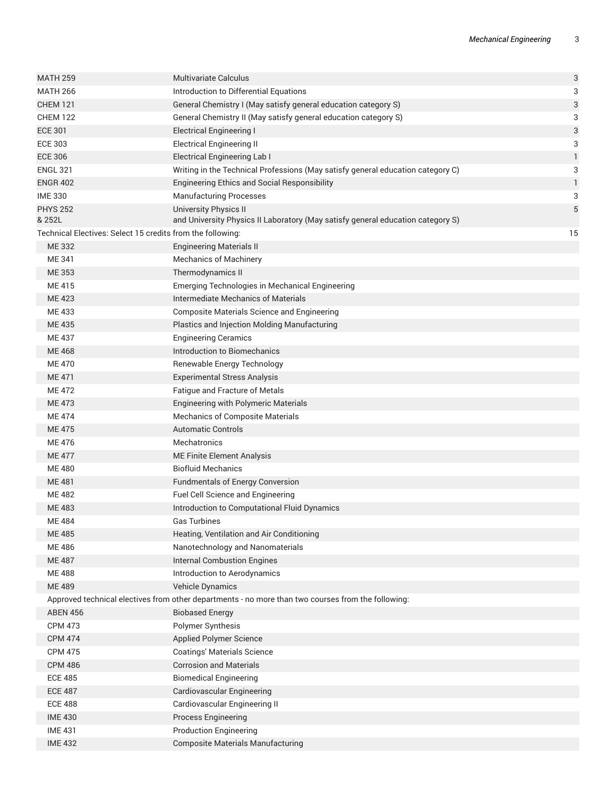| <b>MATH 259</b>                                            | <b>Multivariate Calculus</b>                                                                       | 3  |
|------------------------------------------------------------|----------------------------------------------------------------------------------------------------|----|
| <b>MATH 266</b>                                            | Introduction to Differential Equations                                                             | 3  |
| <b>CHEM 121</b>                                            | General Chemistry I (May satisfy general education category S)                                     | 3  |
| <b>CHEM 122</b>                                            | General Chemistry II (May satisfy general education category S)                                    | 3  |
| <b>ECE 301</b>                                             | <b>Electrical Engineering I</b>                                                                    | 3  |
| <b>ECE 303</b>                                             | <b>Electrical Engineering II</b>                                                                   | 3  |
| <b>ECE 306</b>                                             | <b>Electrical Engineering Lab I</b>                                                                | 1  |
| <b>ENGL 321</b>                                            | Writing in the Technical Professions (May satisfy general education category C)                    | 3  |
| <b>ENGR 402</b>                                            | <b>Engineering Ethics and Social Responsibility</b>                                                | 1  |
| <b>IME 330</b>                                             | <b>Manufacturing Processes</b>                                                                     | 3  |
| <b>PHYS 252</b>                                            | University Physics II                                                                              | 5  |
| & 252L                                                     | and University Physics II Laboratory (May satisfy general education category S)                    |    |
| Technical Electives: Select 15 credits from the following: |                                                                                                    | 15 |
| <b>ME332</b>                                               | <b>Engineering Materials II</b>                                                                    |    |
| ME 341                                                     | <b>Mechanics of Machinery</b>                                                                      |    |
| ME 353                                                     | Thermodynamics II                                                                                  |    |
| ME 415                                                     | Emerging Technologies in Mechanical Engineering                                                    |    |
| ME 423                                                     | Intermediate Mechanics of Materials                                                                |    |
| ME 433                                                     | <b>Composite Materials Science and Engineering</b>                                                 |    |
| <b>ME435</b>                                               | Plastics and Injection Molding Manufacturing                                                       |    |
| ME 437                                                     | <b>Engineering Ceramics</b>                                                                        |    |
| <b>ME468</b>                                               | Introduction to Biomechanics                                                                       |    |
| <b>ME470</b>                                               | Renewable Energy Technology                                                                        |    |
| <b>ME471</b>                                               | <b>Experimental Stress Analysis</b>                                                                |    |
| <b>ME472</b>                                               | Fatigue and Fracture of Metals                                                                     |    |
| <b>ME473</b>                                               | <b>Engineering with Polymeric Materials</b>                                                        |    |
| <b>ME474</b>                                               | <b>Mechanics of Composite Materials</b>                                                            |    |
| <b>ME475</b>                                               | <b>Automatic Controls</b>                                                                          |    |
| ME 476                                                     | <b>Mechatronics</b>                                                                                |    |
| <b>ME477</b>                                               | ME Finite Element Analysis                                                                         |    |
| <b>ME480</b>                                               | <b>Biofluid Mechanics</b>                                                                          |    |
| <b>ME481</b>                                               | Fundmentals of Energy Conversion                                                                   |    |
| <b>ME482</b>                                               | Fuel Cell Science and Engineering                                                                  |    |
| <b>ME483</b>                                               | Introduction to Computational Fluid Dynamics                                                       |    |
| ME 484                                                     | Gas Turbines                                                                                       |    |
| <b>ME 485</b>                                              | Heating, Ventilation and Air Conditioning                                                          |    |
| <b>ME486</b>                                               | Nanotechnology and Nanomaterials                                                                   |    |
| <b>ME487</b>                                               | <b>Internal Combustion Engines</b>                                                                 |    |
| <b>ME488</b>                                               | Introduction to Aerodynamics                                                                       |    |
| <b>ME489</b>                                               | Vehicle Dynamics                                                                                   |    |
|                                                            | Approved technical electives from other departments - no more than two courses from the following: |    |
| <b>ABEN 456</b>                                            | <b>Biobased Energy</b>                                                                             |    |
| <b>CPM 473</b>                                             | Polymer Synthesis                                                                                  |    |
| <b>CPM 474</b>                                             | <b>Applied Polymer Science</b>                                                                     |    |
| <b>CPM 475</b>                                             | <b>Coatings' Materials Science</b>                                                                 |    |
| <b>CPM 486</b>                                             | <b>Corrosion and Materials</b>                                                                     |    |
| <b>ECE 485</b>                                             | <b>Biomedical Engineering</b>                                                                      |    |
| <b>ECE 487</b>                                             | Cardiovascular Engineering                                                                         |    |
| <b>ECE 488</b>                                             | Cardiovascular Engineering II                                                                      |    |
| <b>IME 430</b>                                             | Process Engineering                                                                                |    |
| <b>IME 431</b>                                             | <b>Production Engineering</b>                                                                      |    |
| <b>IME 432</b>                                             | <b>Composite Materials Manufacturing</b>                                                           |    |
|                                                            |                                                                                                    |    |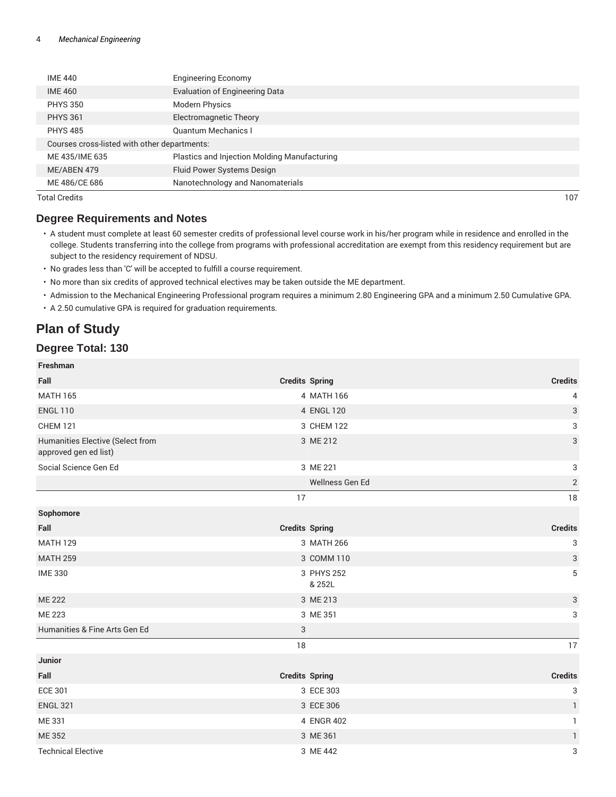| <b>IME 440</b>                               | <b>Engineering Economy</b>                   |  |
|----------------------------------------------|----------------------------------------------|--|
| <b>IME 460</b>                               | <b>Evaluation of Engineering Data</b>        |  |
| <b>PHYS 350</b>                              | <b>Modern Physics</b>                        |  |
| <b>PHYS 361</b>                              | Electromagnetic Theory                       |  |
| <b>PHYS 485</b>                              | <b>Quantum Mechanics I</b>                   |  |
| Courses cross-listed with other departments: |                                              |  |
| ME435/IME635                                 | Plastics and Injection Molding Manufacturing |  |
| ME/ABEN 479                                  | Fluid Power Systems Design                   |  |
| ME 486/CE 686                                | Nanotechnology and Nanomaterials             |  |
|                                              |                                              |  |

Total Credits 107

#### **Degree Requirements and Notes**

- A student must complete at least 60 semester credits of professional level course work in his/her program while in residence and enrolled in the college. Students transferring into the college from programs with professional accreditation are exempt from this residency requirement but are subject to the residency requirement of NDSU.
- No grades less than 'C' will be accepted to fulfill a course requirement.
- No more than six credits of approved technical electives may be taken outside the ME department.
- Admission to the Mechanical Engineering Professional program requires a minimum 2.80 Engineering GPA and a minimum 2.50 Cumulative GPA.
- A 2.50 cumulative GPA is required for graduation requirements.

# **Plan of Study**

# **Degree Total: 130**

**Freshman**

| <b>FICSILIIAII</b>                                        |                       |                           |
|-----------------------------------------------------------|-----------------------|---------------------------|
| Fall                                                      | <b>Credits Spring</b> | <b>Credits</b>            |
| <b>MATH 165</b>                                           | 4 MATH 166            | 4                         |
| <b>ENGL 110</b>                                           | 4 ENGL 120            | $\ensuremath{\mathsf{3}}$ |
| <b>CHEM 121</b>                                           | 3 CHEM 122            | $\ensuremath{\mathsf{3}}$ |
| Humanities Elective (Select from<br>approved gen ed list) | 3 ME 212              | $\mathfrak{S}$            |
| Social Science Gen Ed                                     | 3 ME 221              | 3                         |
|                                                           | Wellness Gen Ed       | $\sqrt{2}$                |
|                                                           | 17                    | 18                        |
| Sophomore                                                 |                       |                           |
| Fall                                                      | <b>Credits Spring</b> | <b>Credits</b>            |
| <b>MATH 129</b>                                           | 3 MATH 266            | $\ensuremath{\mathsf{3}}$ |
| <b>MATH 259</b>                                           | 3 COMM 110            | $\ensuremath{\mathsf{3}}$ |
| <b>IME 330</b>                                            | 3 PHYS 252<br>& 252L  | $\overline{5}$            |
| <b>ME 222</b>                                             | 3 ME 213              | 3                         |
| <b>ME 223</b>                                             | 3 ME 351              | 3                         |
| Humanities & Fine Arts Gen Ed                             | 3                     |                           |
|                                                           | $18\,$                | 17                        |
| Junior                                                    |                       |                           |
| Fall                                                      | <b>Credits Spring</b> | <b>Credits</b>            |
| <b>ECE 301</b>                                            | 3 ECE 303             | $\ensuremath{\mathsf{3}}$ |
| <b>ENGL 321</b>                                           | 3 ECE 306             | 1                         |
| ME 331                                                    | 4 ENGR 402            | $\mathbf{1}$              |
| ME 352                                                    | 3 ME 361              | $\mathbf{1}$              |
| <b>Technical Elective</b>                                 | 3 ME 442              | 3                         |